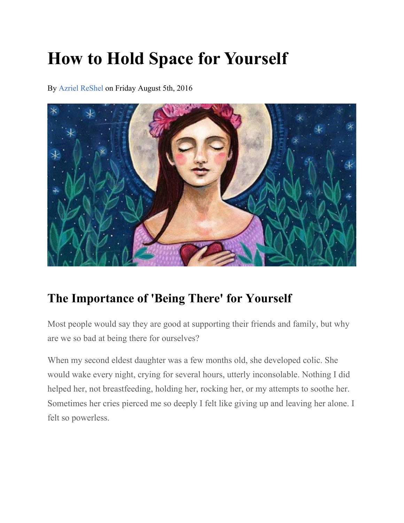# **How to Hold Space for Yourself**

By Azriel ReShel on Friday August 5th, 2016



# **The Importance of 'Being There' for Yourself**

Most people would say they are good at supporting their friends and family, but why are we so bad at being there for ourselves?

When my second eldest daughter was a few months old, she developed colic. She would wake every night, crying for several hours, utterly inconsolable. Nothing I did helped her, not breastfeeding, holding her, rocking her, or my attempts to soothe her. Sometimes her cries pierced me so deeply I felt like giving up and leaving her alone. I felt so powerless.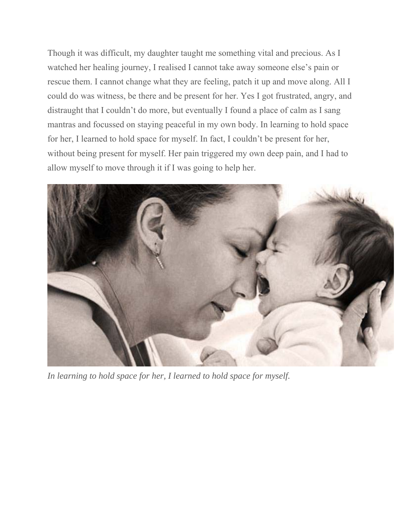Though it was difficult, my daughter taught me something vital and precious. As I watched her healing journey, I realised I cannot take away someone else's pain or rescue them. I cannot change what they are feeling, patch it up and move along. All I could do was witness, be there and be present for her. Yes I got frustrated, angry, and distraught that I couldn't do more, but eventually I found a place of calm as I sang mantras and focussed on staying peaceful in my own body. In learning to hold space for her, I learned to hold space for myself. In fact, I couldn't be present for her, without being present for myself. Her pain triggered my own deep pain, and I had to allow myself to move through it if I was going to help her.



*In learning to hold space for her, I learned to hold space for myself.*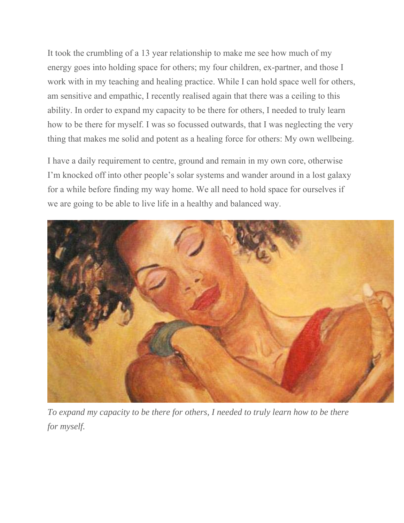It took the crumbling of a 13 year relationship to make me see how much of my energy goes into holding space for others; my four children, ex-partner, and those I work with in my teaching and healing practice. While I can hold space well for others, am sensitive and empathic, I recently realised again that there was a ceiling to this ability. In order to expand my capacity to be there for others, I needed to truly learn how to be there for myself. I was so focussed outwards, that I was neglecting the very thing that makes me solid and potent as a healing force for others: My own wellbeing.

I have a daily requirement to centre, ground and remain in my own core, otherwise I'm knocked off into other people's solar systems and wander around in a lost galaxy for a while before finding my way home. We all need to hold space for ourselves if we are going to be able to live life in a healthy and balanced way.



*To expand my capacity to be there for others, I needed to truly learn how to be there for myself.*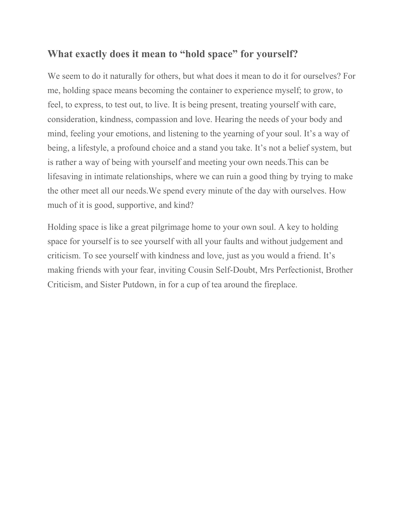## **What exactly does it mean to "hold space" for yourself?**

We seem to do it naturally for others, but what does it mean to do it for ourselves? For me, holding space means becoming the container to experience myself; to grow, to feel, to express, to test out, to live. It is being present, treating yourself with care, consideration, kindness, compassion and love. Hearing the needs of your body and mind, feeling your emotions, and listening to the yearning of your soul. It's a way of being, a lifestyle, a profound choice and a stand you take. It's not a belief system, but is rather a way of being with yourself and meeting your own needs.This can be lifesaving in intimate relationships, where we can ruin a good thing by trying to make the other meet all our needs.We spend every minute of the day with ourselves. How much of it is good, supportive, and kind?

Holding space is like a great pilgrimage home to your own soul. A key to holding space for yourself is to see yourself with all your faults and without judgement and criticism. To see yourself with kindness and love, just as you would a friend. It's making friends with your fear, inviting Cousin Self-Doubt, Mrs Perfectionist, Brother Criticism, and Sister Putdown, in for a cup of tea around the fireplace.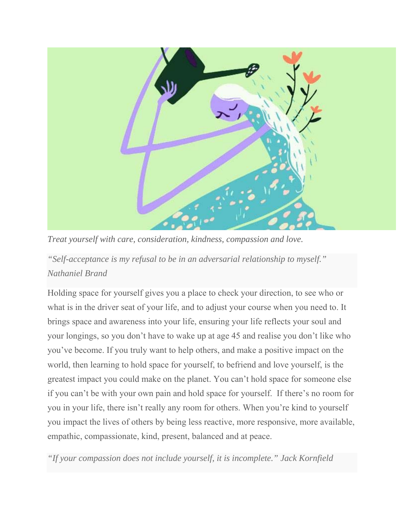

*Treat yourself with care, consideration, kindness, compassion and love.* 

*"Self-acceptance is my refusal to be in an adversarial relationship to myself." Nathaniel Brand* 

Holding space for yourself gives you a place to check your direction, to see who or what is in the driver seat of your life, and to adjust your course when you need to. It brings space and awareness into your life, ensuring your life reflects your soul and your longings, so you don't have to wake up at age 45 and realise you don't like who you've become. If you truly want to help others, and make a positive impact on the world, then learning to hold space for yourself, to befriend and love yourself, is the greatest impact you could make on the planet. You can't hold space for someone else if you can't be with your own pain and hold space for yourself. If there's no room for you in your life, there isn't really any room for others. When you're kind to yourself you impact the lives of others by being less reactive, more responsive, more available, empathic, compassionate, kind, present, balanced and at peace.

*"If your compassion does not include yourself, it is incomplete." Jack Kornfield*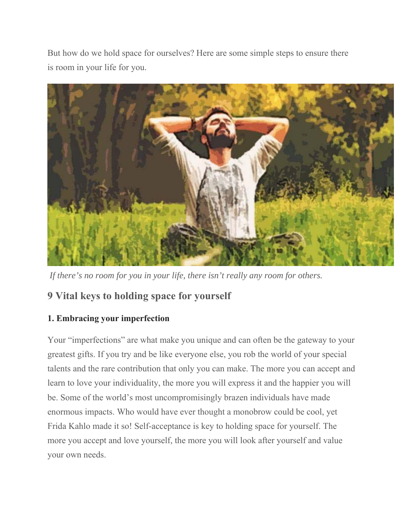But how do we hold space for ourselves? Here are some simple steps to ensure there is room in your life for you.



 *If there's no room for you in your life, there isn't really any room for others.*

# **9 Vital keys to holding space for yourself**

#### **1. Embracing your imperfection**

Your "imperfections" are what make you unique and can often be the gateway to your greatest gifts. If you try and be like everyone else, you rob the world of your special talents and the rare contribution that only you can make. The more you can accept and learn to love your individuality, the more you will express it and the happier you will be. Some of the world's most uncompromisingly brazen individuals have made enormous impacts. Who would have ever thought a monobrow could be cool, yet Frida Kahlo made it so! Self-acceptance is key to holding space for yourself. The more you accept and love yourself, the more you will look after yourself and value your own needs.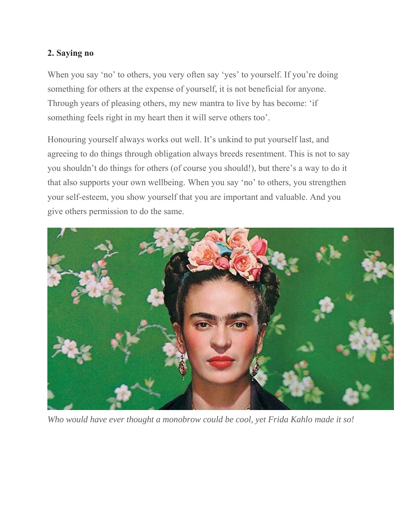#### **2. Saying no**

When you say 'no' to others, you very often say 'yes' to yourself. If you're doing something for others at the expense of yourself, it is not beneficial for anyone. Through years of pleasing others, my new mantra to live by has become: 'if something feels right in my heart then it will serve others too'.

Honouring yourself always works out well. It's unkind to put yourself last, and agreeing to do things through obligation always breeds resentment. This is not to say you shouldn't do things for others (of course you should!), but there's a way to do it that also supports your own wellbeing. When you say 'no' to others, you strengthen your self-esteem, you show yourself that you are important and valuable. And you give others permission to do the same.



*Who would have ever thought a monobrow could be cool, yet Frida Kahlo made it so!*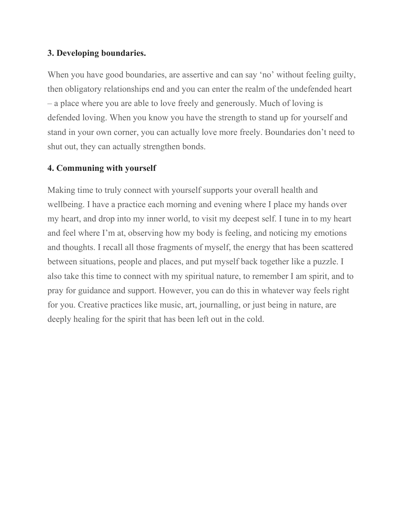#### **3. Developing boundaries.**

When you have good boundaries, are assertive and can say 'no' without feeling guilty, then obligatory relationships end and you can enter the realm of the undefended heart – a place where you are able to love freely and generously. Much of loving is defended loving. When you know you have the strength to stand up for yourself and stand in your own corner, you can actually love more freely. Boundaries don't need to shut out, they can actually strengthen bonds.

#### **4. Communing with yourself**

Making time to truly connect with yourself supports your overall health and wellbeing. I have a practice each morning and evening where I place my hands over my heart, and drop into my inner world, to visit my deepest self. I tune in to my heart and feel where I'm at, observing how my body is feeling, and noticing my emotions and thoughts. I recall all those fragments of myself, the energy that has been scattered between situations, people and places, and put myself back together like a puzzle. I also take this time to connect with my spiritual nature, to remember I am spirit, and to pray for guidance and support. However, you can do this in whatever way feels right for you. Creative practices like music, art, journalling, or just being in nature, are deeply healing for the spirit that has been left out in the cold.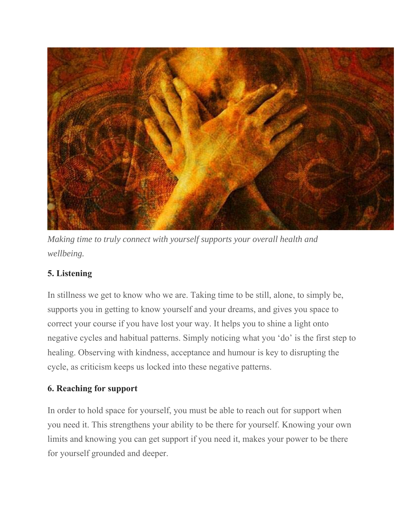

*Making time to truly connect with yourself supports your overall health and wellbeing.*

#### **5. Listening**

In stillness we get to know who we are. Taking time to be still, alone, to simply be, supports you in getting to know yourself and your dreams, and gives you space to correct your course if you have lost your way. It helps you to shine a light onto negative cycles and habitual patterns. Simply noticing what you 'do' is the first step to healing. Observing with kindness, acceptance and humour is key to disrupting the cycle, as criticism keeps us locked into these negative patterns.

#### **6. Reaching for support**

In order to hold space for yourself, you must be able to reach out for support when you need it. This strengthens your ability to be there for yourself. Knowing your own limits and knowing you can get support if you need it, makes your power to be there for yourself grounded and deeper.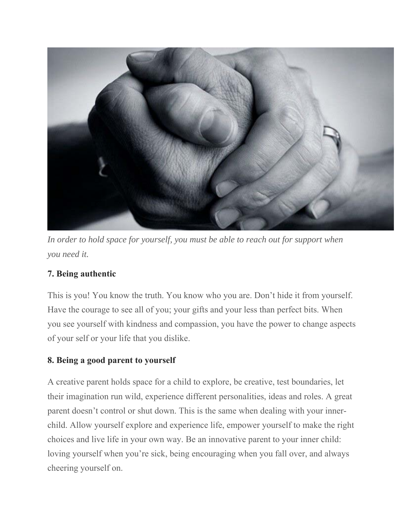

*In order to hold space for yourself, you must be able to reach out for support when you need it.*

### **7. Being authentic**

This is you! You know the truth. You know who you are. Don't hide it from yourself. Have the courage to see all of you; your gifts and your less than perfect bits. When you see yourself with kindness and compassion, you have the power to change aspects of your self or your life that you dislike.

#### **8. Being a good parent to yourself**

A creative parent holds space for a child to explore, be creative, test boundaries, let their imagination run wild, experience different personalities, ideas and roles. A great parent doesn't control or shut down. This is the same when dealing with your innerchild. Allow yourself explore and experience life, empower yourself to make the right choices and live life in your own way. Be an innovative parent to your inner child: loving yourself when you're sick, being encouraging when you fall over, and always cheering yourself on.